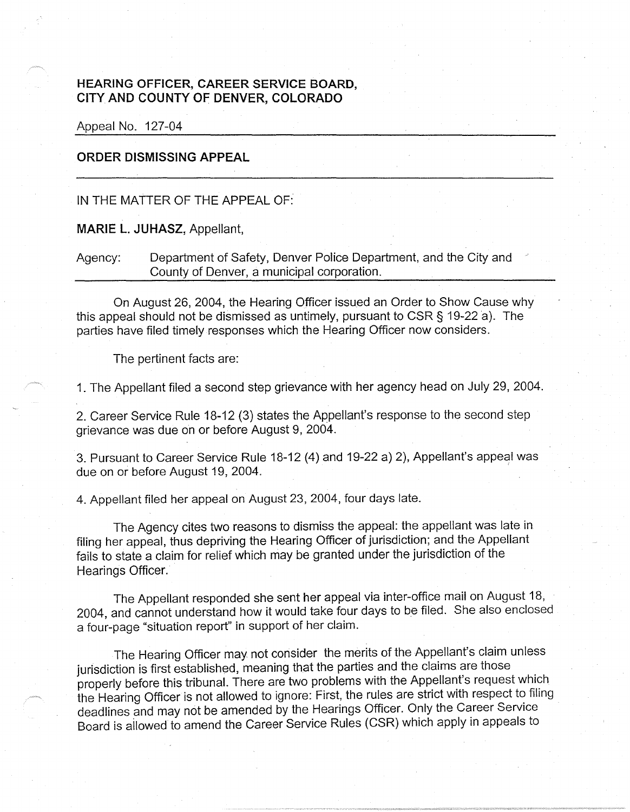## **HEARING OFFICER, CAREER SERVICE BOARD** ' **CITYAND COUNTY OF DENVER, COLORADO**

Appeal No. 127-04

## **ORDER DISMISSING APPEAL**

## IN THE MATTER OF THE APPEAL OF:

**MARIE L. JUHASZ,** Appellant,

Agency: Department of Safety, Denver Police Department, and the City and County of Denver, a municipal corporation.

On August 26, 2004, the Hearing Officer issued an Order to Show Cause why this appeal should not be dismissed as untimely, pursuant to CSR § 19-22 a). The parties have filed timely responses which the Hearing Officer now considers.

The pertinent facts are:

1. The Appellant filed a second step grievance with her agency head on July 29, 2004.

2. Career Service Rule 18-12 (3) states the Appellant's response to the second step grievance was due on or before August 9, 2004.

3. Pursuant to Career Service Rule 18-12 (4) and 19-22 a) 2), Appellant's appeal was due on or before August 19, 2004.

4. Appellant filed her appeal on August 23, 2004, four days late.

The Agency cites two reasons to dismiss the appeal: the appellant was late in filing her appeal, thus depriving the Hearing Officer of jurisdiction; and the Appellant fails to state a claim for relief which may be granted under the jurisdiction of the Hearings Officer.

The Appellant responded she sent her appeal via inter-office mail on August 18, 2004, and cannot understand how it would take four days to be filed. She also enclosed a four-page "situation report" in support of her claim.

The Hearing Officer may not consider the merits of the Appellant's claim unless jurisdiction is first established, meaning that the parties and the claims are those properly before this tribunal. There are two problems with the Appellant's request which the Hearing Officer is not allowed to ignore: First, the rules are strict with respect to filing deadlines and may not be amended by the Hearings Officer. Only the Career Service Board is ailowed to amend the Career Service Rules (CSR) which apply in appeals to